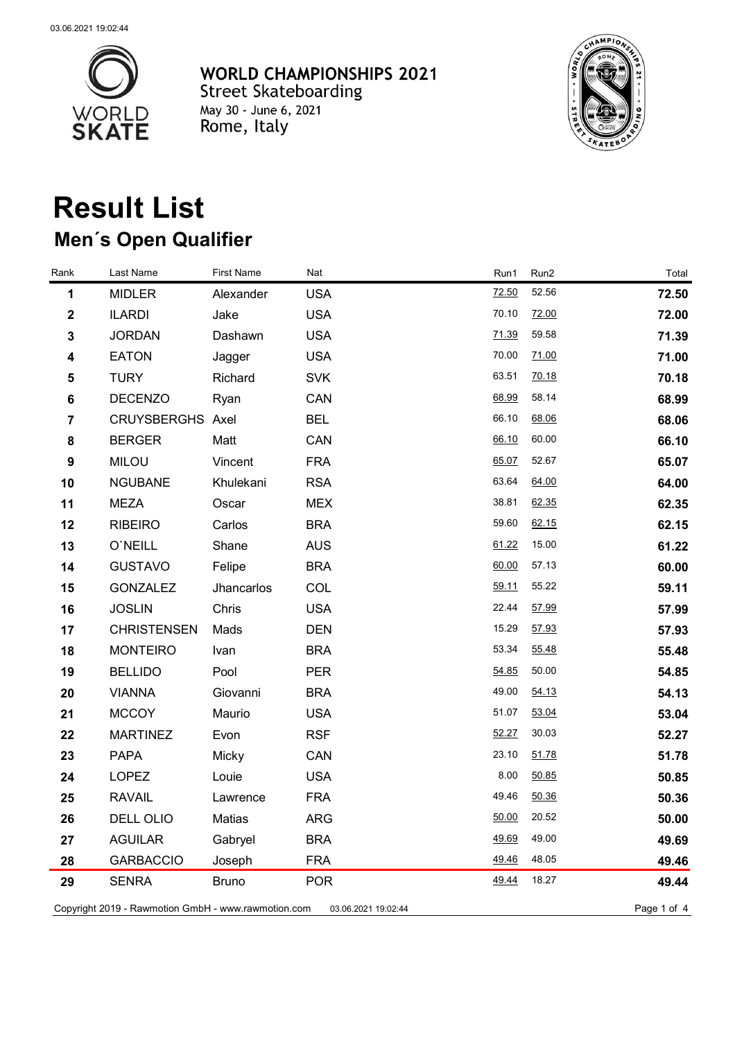

**WORLD CHAMPIONSHIPS 2021** Street Skateboarding<br>
May 30 - June 6, 2021<br>
Rome, Italy



## **Result List Men´s Open Qualifier**

| Rank                                                                                      | Last Name          | <b>First Name</b> | Nat        | Run1        | Run2  | Total |
|-------------------------------------------------------------------------------------------|--------------------|-------------------|------------|-------------|-------|-------|
| 1                                                                                         | <b>MIDLER</b>      | Alexander         | <b>USA</b> | 72.50       | 52.56 | 72.50 |
| $\boldsymbol{2}$                                                                          | <b>ILARDI</b>      | Jake              | <b>USA</b> | 70.10       | 72.00 | 72.00 |
| $\mathbf 3$                                                                               | <b>JORDAN</b>      | Dashawn           | <b>USA</b> | 71.39       | 59.58 | 71.39 |
| 4                                                                                         | <b>EATON</b>       | Jagger            | <b>USA</b> | 70.00       | 71.00 | 71.00 |
| 5                                                                                         | <b>TURY</b>        | Richard           | <b>SVK</b> | 63.51       | 70.18 | 70.18 |
| $\bf 6$                                                                                   | <b>DECENZO</b>     | Ryan              | CAN        | 68.99       | 58.14 | 68.99 |
| $\overline{7}$                                                                            | CRUYSBERGHS Axel   |                   | <b>BEL</b> | 66.10       | 68.06 | 68.06 |
| 8                                                                                         | <b>BERGER</b>      | Matt              | CAN        | 66.10       | 60.00 | 66.10 |
| $\boldsymbol{9}$                                                                          | <b>MILOU</b>       | Vincent           | <b>FRA</b> | 65.07       | 52.67 | 65.07 |
| 10                                                                                        | <b>NGUBANE</b>     | Khulekani         | <b>RSA</b> | 63.64       | 64.00 | 64.00 |
| 11                                                                                        | <b>MEZA</b>        | Oscar             | <b>MEX</b> | 38.81       | 62.35 | 62.35 |
| 12                                                                                        | <b>RIBEIRO</b>     | Carlos            | <b>BRA</b> | 59.60       | 62.15 | 62.15 |
| 13                                                                                        | O'NEILL            | Shane             | <b>AUS</b> | 61.22       | 15.00 | 61.22 |
| 14                                                                                        | <b>GUSTAVO</b>     | Felipe            | <b>BRA</b> | 60.00       | 57.13 | 60.00 |
| 15                                                                                        | <b>GONZALEZ</b>    | Jhancarlos        | COL        | 59.11       | 55.22 | 59.11 |
| 16                                                                                        | <b>JOSLIN</b>      | Chris             | <b>USA</b> | 22.44       | 57.99 | 57.99 |
| 17                                                                                        | <b>CHRISTENSEN</b> | Mads              | <b>DEN</b> | 15.29       | 57.93 | 57.93 |
| 18                                                                                        | <b>MONTEIRO</b>    | Ivan              | <b>BRA</b> | 53.34       | 55.48 | 55.48 |
| 19                                                                                        | <b>BELLIDO</b>     | Pool              | <b>PER</b> | 54.85       | 50.00 | 54.85 |
| 20                                                                                        | <b>VIANNA</b>      | Giovanni          | <b>BRA</b> | 49.00       | 54.13 | 54.13 |
| 21                                                                                        | <b>MCCOY</b>       | Maurio            | <b>USA</b> | 51.07       | 53.04 | 53.04 |
| 22                                                                                        | <b>MARTINEZ</b>    | Evon              | <b>RSF</b> | 52.27       | 30.03 | 52.27 |
| 23                                                                                        | <b>PAPA</b>        | Micky             | CAN        | 23.10       | 51.78 | 51.78 |
| 24                                                                                        | <b>LOPEZ</b>       | Louie             | <b>USA</b> | 8.00        | 50.85 | 50.85 |
| 25                                                                                        | <b>RAVAIL</b>      | Lawrence          | <b>FRA</b> | 49.46       | 50.36 | 50.36 |
| 26                                                                                        | DELL OLIO          | Matias            | <b>ARG</b> | 50.00 20.52 |       | 50.00 |
| 27                                                                                        | <b>AGUILAR</b>     | Gabryel           | <b>BRA</b> | 49.69       | 49.00 | 49.69 |
| 28                                                                                        | <b>GARBACCIO</b>   | Joseph            | <b>FRA</b> | 49.46       | 48.05 | 49.46 |
| 29                                                                                        | <b>SENRA</b>       | <b>Bruno</b>      | <b>POR</b> | 49.44       | 18.27 | 49.44 |
| Copyright 2019 - Rawmotion GmbH - www.rawmotion.com<br>Page 1 of 4<br>03.06.2021 19:02:44 |                    |                   |            |             |       |       |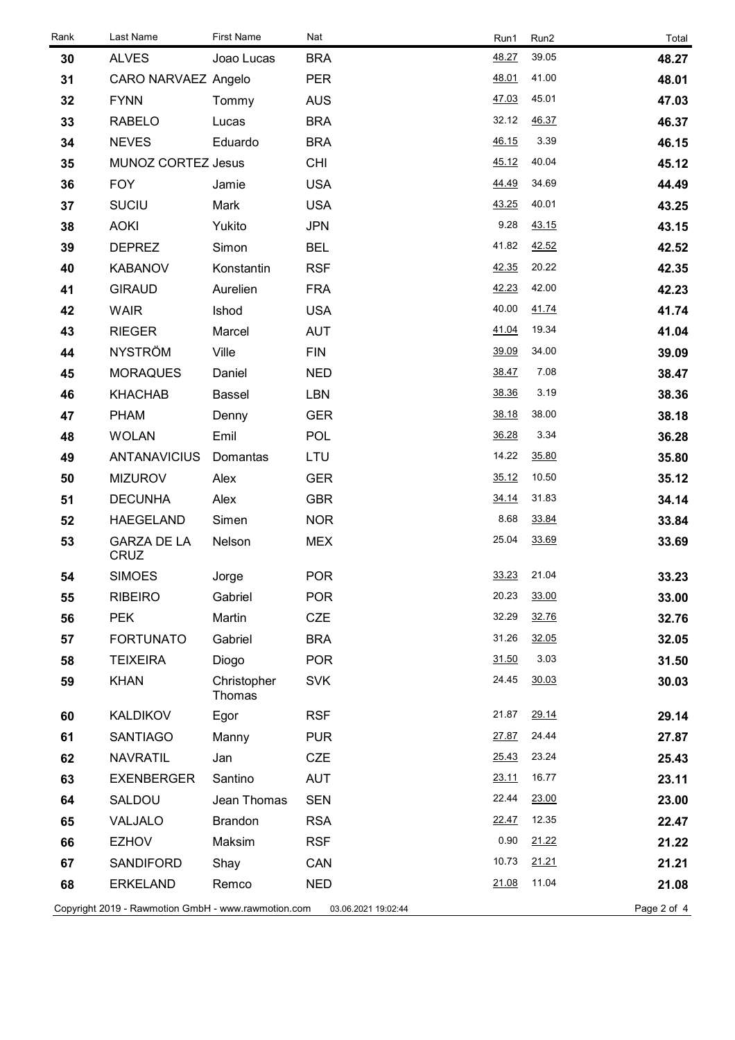| Rank                                                                                      | Last Name                         | <b>First Name</b>     | Nat        | Run1  | Run2  | Total |
|-------------------------------------------------------------------------------------------|-----------------------------------|-----------------------|------------|-------|-------|-------|
| 30                                                                                        | <b>ALVES</b>                      | Joao Lucas            | <b>BRA</b> | 48.27 | 39.05 | 48.27 |
| 31                                                                                        | CARO NARVAEZ Angelo               |                       | <b>PER</b> | 48.01 | 41.00 | 48.01 |
| 32                                                                                        | <b>FYNN</b>                       | Tommy                 | <b>AUS</b> | 47.03 | 45.01 | 47.03 |
| 33                                                                                        | RABELO                            | Lucas                 | <b>BRA</b> | 32.12 | 46.37 | 46.37 |
| 34                                                                                        | <b>NEVES</b>                      | Eduardo               | <b>BRA</b> | 46.15 | 3.39  | 46.15 |
| 35                                                                                        | MUNOZ CORTEZ Jesus                |                       | <b>CHI</b> | 45.12 | 40.04 | 45.12 |
| 36                                                                                        | <b>FOY</b>                        | Jamie                 | <b>USA</b> | 44.49 | 34.69 | 44.49 |
| 37                                                                                        | <b>SUCIU</b>                      | Mark                  | <b>USA</b> | 43.25 | 40.01 | 43.25 |
| 38                                                                                        | <b>AOKI</b>                       | Yukito                | <b>JPN</b> | 9.28  | 43.15 | 43.15 |
| 39                                                                                        | <b>DEPREZ</b>                     | Simon                 | <b>BEL</b> | 41.82 | 42.52 | 42.52 |
| 40                                                                                        | <b>KABANOV</b>                    | Konstantin            | <b>RSF</b> | 42.35 | 20.22 | 42.35 |
| 41                                                                                        | <b>GIRAUD</b>                     | Aurelien              | <b>FRA</b> | 42.23 | 42.00 | 42.23 |
| 42                                                                                        | <b>WAIR</b>                       | Ishod                 | <b>USA</b> | 40.00 | 41.74 | 41.74 |
| 43                                                                                        | <b>RIEGER</b>                     | Marcel                | <b>AUT</b> | 41.04 | 19.34 | 41.04 |
| 44                                                                                        | <b>NYSTRÖM</b>                    | Ville                 | <b>FIN</b> | 39.09 | 34.00 | 39.09 |
| 45                                                                                        | <b>MORAQUES</b>                   | Daniel                | <b>NED</b> | 38.47 | 7.08  | 38.47 |
| 46                                                                                        | <b>KHACHAB</b>                    | <b>Bassel</b>         | <b>LBN</b> | 38.36 | 3.19  | 38.36 |
| 47                                                                                        | <b>PHAM</b>                       | Denny                 | <b>GER</b> | 38.18 | 38.00 | 38.18 |
| 48                                                                                        | <b>WOLAN</b>                      | Emil                  | <b>POL</b> | 36.28 | 3.34  | 36.28 |
| 49                                                                                        | <b>ANTANAVICIUS</b>               | Domantas              | LTU        | 14.22 | 35.80 | 35.80 |
| 50                                                                                        | <b>MIZUROV</b>                    | Alex                  | <b>GER</b> | 35.12 | 10.50 | 35.12 |
| 51                                                                                        | <b>DECUNHA</b>                    | Alex                  | <b>GBR</b> | 34.14 | 31.83 | 34.14 |
| 52                                                                                        | <b>HAEGELAND</b>                  | Simen                 | <b>NOR</b> | 8.68  | 33.84 | 33.84 |
| 53                                                                                        | <b>GARZA DE LA</b><br><b>CRUZ</b> | Nelson                | <b>MEX</b> | 25.04 | 33.69 | 33.69 |
| 54                                                                                        | <b>SIMOES</b>                     | Jorge                 | <b>POR</b> | 33.23 | 21.04 | 33.23 |
| 55                                                                                        | <b>RIBEIRO</b>                    | Gabriel               | <b>POR</b> | 20.23 | 33.00 | 33.00 |
| 56                                                                                        | <b>PEK</b>                        | Martin                | <b>CZE</b> | 32.29 | 32.76 | 32.76 |
| 57                                                                                        | <b>FORTUNATO</b>                  | Gabriel               | <b>BRA</b> | 31.26 | 32.05 | 32.05 |
| 58                                                                                        | <b>TEIXEIRA</b>                   | Diogo                 | <b>POR</b> | 31.50 | 3.03  | 31.50 |
| 59                                                                                        | <b>KHAN</b>                       | Christopher<br>Thomas | <b>SVK</b> | 24.45 | 30.03 | 30.03 |
| 60                                                                                        | KALDIKOV                          | Egor                  | <b>RSF</b> | 21.87 | 29.14 | 29.14 |
| 61                                                                                        | <b>SANTIAGO</b>                   | Manny                 | <b>PUR</b> | 27.87 | 24.44 | 27.87 |
| 62                                                                                        | <b>NAVRATIL</b>                   | Jan                   | <b>CZE</b> | 25.43 | 23.24 | 25.43 |
| 63                                                                                        | <b>EXENBERGER</b>                 | Santino               | <b>AUT</b> | 23.11 | 16.77 | 23.11 |
| 64                                                                                        | SALDOU                            | Jean Thomas           | <b>SEN</b> | 22.44 | 23.00 | 23.00 |
| 65                                                                                        | VALJALO                           | <b>Brandon</b>        | <b>RSA</b> | 22.47 | 12.35 | 22.47 |
| 66                                                                                        | <b>EZHOV</b>                      | Maksim                | <b>RSF</b> | 0.90  | 21.22 | 21.22 |
| 67                                                                                        | SANDIFORD                         | Shay                  | CAN        | 10.73 | 21.21 | 21.21 |
| 68                                                                                        | <b>ERKELAND</b>                   | Remco                 | <b>NED</b> | 21.08 | 11.04 | 21.08 |
| Copyright 2019 - Rawmotion GmbH - www.rawmotion.com<br>Page 2 of 4<br>03.06.2021 19:02:44 |                                   |                       |            |       |       |       |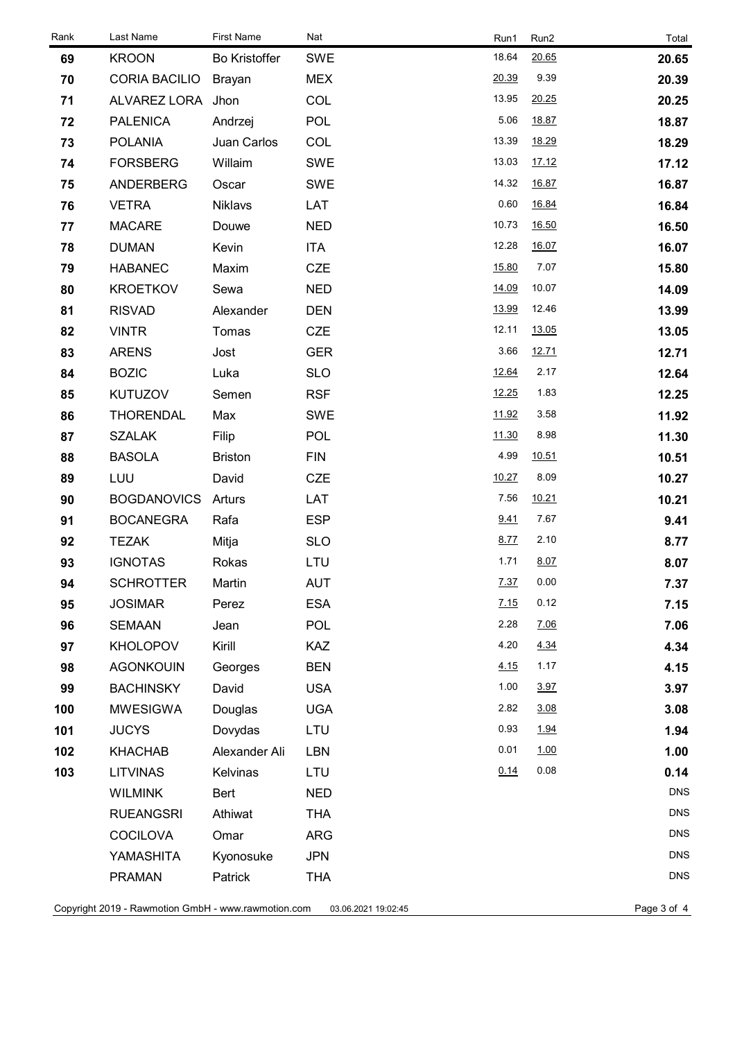| Rank                                                                                      | Last Name            | <b>First Name</b>    | Nat        | Run1  | Run2  | Total      |
|-------------------------------------------------------------------------------------------|----------------------|----------------------|------------|-------|-------|------------|
| 69                                                                                        | <b>KROON</b>         | <b>Bo Kristoffer</b> | <b>SWE</b> | 18.64 | 20.65 | 20.65      |
| 70                                                                                        | <b>CORIA BACILIO</b> | <b>Brayan</b>        | <b>MEX</b> | 20.39 | 9.39  | 20.39      |
| 71                                                                                        | ALVAREZ LORA Jhon    |                      | COL        | 13.95 | 20.25 | 20.25      |
| 72                                                                                        | <b>PALENICA</b>      | Andrzej              | <b>POL</b> | 5.06  | 18.87 | 18.87      |
| 73                                                                                        | <b>POLANIA</b>       | Juan Carlos          | COL        | 13.39 | 18.29 | 18.29      |
| 74                                                                                        | <b>FORSBERG</b>      | Willaim              | <b>SWE</b> | 13.03 | 17.12 | 17.12      |
| 75                                                                                        | <b>ANDERBERG</b>     | Oscar                | <b>SWE</b> | 14.32 | 16.87 | 16.87      |
| 76                                                                                        | <b>VETRA</b>         | <b>Niklavs</b>       | LAT        | 0.60  | 16.84 | 16.84      |
| 77                                                                                        | <b>MACARE</b>        | Douwe                | <b>NED</b> | 10.73 | 16.50 | 16.50      |
| 78                                                                                        | <b>DUMAN</b>         | Kevin                | <b>ITA</b> | 12.28 | 16.07 | 16.07      |
| 79                                                                                        | <b>HABANEC</b>       | Maxim                | <b>CZE</b> | 15.80 | 7.07  | 15.80      |
| 80                                                                                        | <b>KROETKOV</b>      | Sewa                 | <b>NED</b> | 14.09 | 10.07 | 14.09      |
| 81                                                                                        | <b>RISVAD</b>        | Alexander            | <b>DEN</b> | 13.99 | 12.46 | 13.99      |
| 82                                                                                        | <b>VINTR</b>         | Tomas                | <b>CZE</b> | 12.11 | 13.05 | 13.05      |
| 83                                                                                        | <b>ARENS</b>         | Jost                 | <b>GER</b> | 3.66  | 12.71 | 12.71      |
| 84                                                                                        | <b>BOZIC</b>         | Luka                 | <b>SLO</b> | 12.64 | 2.17  | 12.64      |
| 85                                                                                        | <b>KUTUZOV</b>       | Semen                | <b>RSF</b> | 12.25 | 1.83  | 12.25      |
| 86                                                                                        | <b>THORENDAL</b>     | Max                  | <b>SWE</b> | 11.92 | 3.58  | 11.92      |
| 87                                                                                        | <b>SZALAK</b>        | Filip                | <b>POL</b> | 11.30 | 8.98  | 11.30      |
| 88                                                                                        | <b>BASOLA</b>        | <b>Briston</b>       | <b>FIN</b> | 4.99  | 10.51 | 10.51      |
| 89                                                                                        | LUU                  | David                | <b>CZE</b> | 10.27 | 8.09  | 10.27      |
| 90                                                                                        | <b>BOGDANOVICS</b>   | Arturs               | LAT        | 7.56  | 10.21 | 10.21      |
| 91                                                                                        | <b>BOCANEGRA</b>     | Rafa                 | <b>ESP</b> | 9.41  | 7.67  | 9.41       |
| 92                                                                                        | <b>TEZAK</b>         | Mitja                | <b>SLO</b> | 8.77  | 2.10  | 8.77       |
| 93                                                                                        | <b>IGNOTAS</b>       | Rokas                | LTU        | 1.71  | 8.07  | 8.07       |
| 94                                                                                        | <b>SCHROTTER</b>     | Martin               | AUT        | 7.37  | 0.00  | 7.37       |
| 95                                                                                        | <b>JOSIMAR</b>       | Perez                | <b>ESA</b> | 7.15  | 0.12  | 7.15       |
| 96                                                                                        | <b>SEMAAN</b>        | Jean                 | <b>POL</b> | 2.28  | 7.06  | 7.06       |
| 97                                                                                        | <b>KHOLOPOV</b>      | Kirill               | <b>KAZ</b> | 4.20  | 4.34  | 4.34       |
| 98                                                                                        | <b>AGONKOUIN</b>     | Georges              | <b>BEN</b> | 4.15  | 1.17  | 4.15       |
| 99                                                                                        | <b>BACHINSKY</b>     | David                | <b>USA</b> | 1.00  | 3.97  | 3.97       |
| 100                                                                                       | <b>MWESIGWA</b>      | Douglas              | <b>UGA</b> | 2.82  | 3.08  | 3.08       |
| 101                                                                                       | <b>JUCYS</b>         | Dovydas              | LTU        | 0.93  | 1.94  | 1.94       |
| 102                                                                                       | <b>KHACHAB</b>       | Alexander Ali        | <b>LBN</b> | 0.01  | 1.00  | 1.00       |
| 103                                                                                       | <b>LITVINAS</b>      | Kelvinas             | LTU        | 0.14  | 0.08  | 0.14       |
|                                                                                           | <b>WILMINK</b>       | Bert                 | <b>NED</b> |       |       | <b>DNS</b> |
|                                                                                           | <b>RUEANGSRI</b>     | Athiwat              | <b>THA</b> |       |       | <b>DNS</b> |
|                                                                                           | <b>COCILOVA</b>      | Omar                 | <b>ARG</b> |       |       | <b>DNS</b> |
|                                                                                           | YAMASHITA            | Kyonosuke            | <b>JPN</b> |       |       | <b>DNS</b> |
|                                                                                           | <b>PRAMAN</b>        | Patrick              | <b>THA</b> |       |       | <b>DNS</b> |
| Copyright 2019 - Rawmotion GmbH - www.rawmotion.com<br>Page 3 of 4<br>03.06.2021 19:02:45 |                      |                      |            |       |       |            |